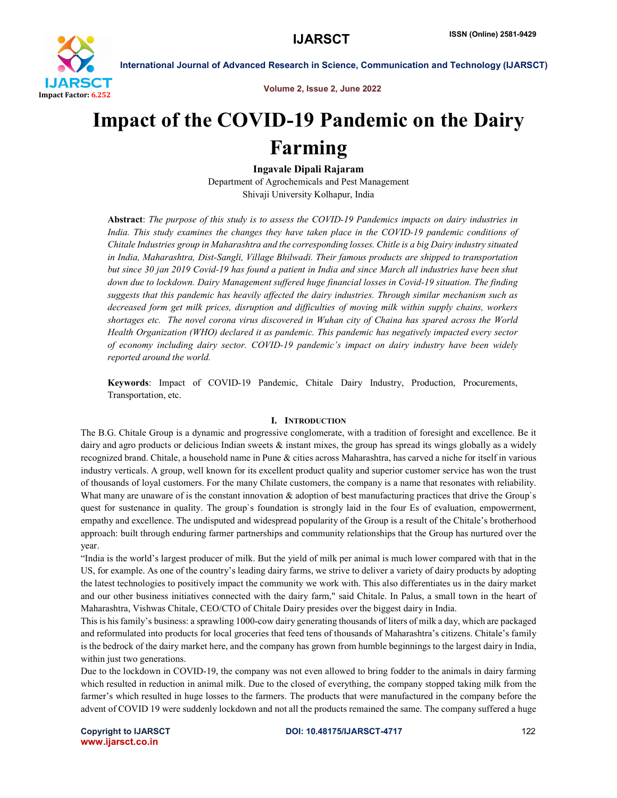

Volume 2, Issue 2, June 2022

# Impact of the COVID-19 Pandemic on the Dairy Farming

Ingavale Dipali Rajaram

Department of Agrochemicals and Pest Management Shivaji University Kolhapur, India

Abstract: *The purpose of this study is to assess the COVID-19 Pandemics impacts on dairy industries in*  India. This study examines the changes they have taken place in the COVID-19 pandemic conditions of *Chitale Industries group in Maharashtra and the corresponding losses. Chitle is a big Dairy industry situated in India, Maharashtra, Dist-Sangli, Village Bhilwadi. Their famous products are shipped to transportation but since 30 jan 2019 Covid-19 has found a patient in India and since March all industries have been shut down due to lockdown. Dairy Management suffered huge financial losses in Covid-19 situation. The finding suggests that this pandemic has heavily affected the dairy industries. Through similar mechanism such as decreased form get milk prices, disruption and difficulties of moving milk within supply chains, workers shortages etc. The novel corona virus discovered in Wuhan city of Chaina has spared across the World Health Organization (WHO) declared it as pandemic. This pandemic has negatively impacted every sector of economy including dairy sector. COVID-19 pandemic's impact on dairy industry have been widely reported around the world.*

Keywords: Impact of COVID-19 Pandemic, Chitale Dairy Industry, Production, Procurements, Transportation, etc.

#### I. INTRODUCTION

The B.G. Chitale Group is a dynamic and progressive conglomerate, with a tradition of foresight and excellence. Be it dairy and agro products or delicious Indian sweets  $\&$  instant mixes, the group has spread its wings globally as a widely recognized brand. Chitale, a household name in Pune & cities across Maharashtra, has carved a niche for itself in various industry verticals. A group, well known for its excellent product quality and superior customer service has won the trust of thousands of loyal customers. For the many Chilate customers, the company is a name that resonates with reliability. What many are unaware of is the constant innovation  $\&$  adoption of best manufacturing practices that drive the Group's quest for sustenance in quality. The group`s foundation is strongly laid in the four Es of evaluation, empowerment, empathy and excellence. The undisputed and widespread popularity of the Group is a result of the Chitale's brotherhood approach: built through enduring farmer partnerships and community relationships that the Group has nurtured over the year.

"India is the world's largest producer of milk. But the yield of milk per animal is much lower compared with that in the US, for example. As one of the country's leading dairy farms, we strive to deliver a variety of dairy products by adopting the latest technologies to positively impact the community we work with. This also differentiates us in the dairy market and our other business initiatives connected with the dairy farm," said Chitale. In Palus, a small town in the heart of Maharashtra, Vishwas Chitale, CEO/CTO of Chitale Dairy presides over the biggest dairy in India.

This is his family's business: a sprawling 1000-cow dairy generating thousands of liters of milk a day, which are packaged and reformulated into products for local groceries that feed tens of thousands of Maharashtra's citizens. Chitale's family is the bedrock of the dairy market here, and the company has grown from humble beginnings to the largest dairy in India, within just two generations.

Due to the lockdown in COVID-19, the company was not even allowed to bring fodder to the animals in dairy farming which resulted in reduction in animal milk. Due to the closed of everything, the company stopped taking milk from the farmer's which resulted in huge losses to the farmers. The products that were manufactured in the company before the advent of COVID 19 were suddenly lockdown and not all the products remained the same. The company suffered a huge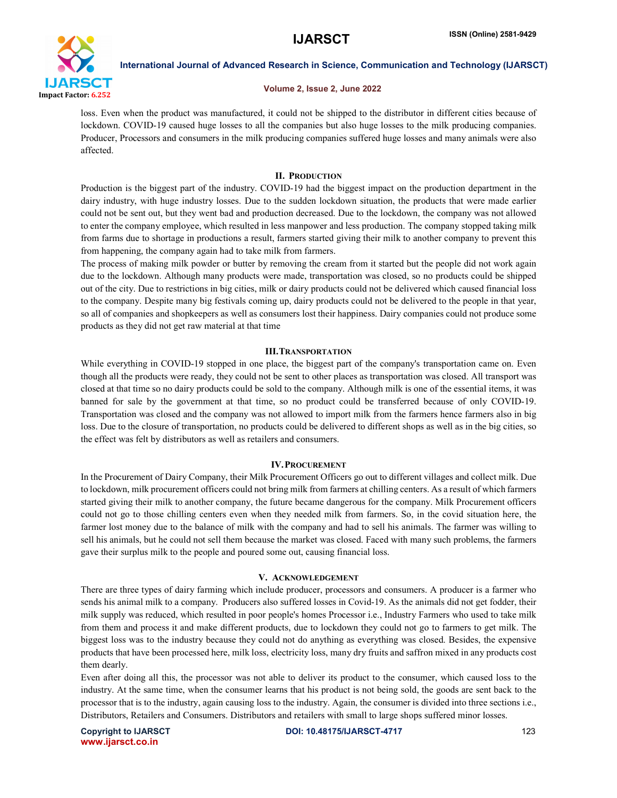

#### Volume 2, Issue 2, June 2022

loss. Even when the product was manufactured, it could not be shipped to the distributor in different cities because of lockdown. COVID-19 caused huge losses to all the companies but also huge losses to the milk producing companies. Producer, Processors and consumers in the milk producing companies suffered huge losses and many animals were also affected.

#### II. PRODUCTION

Production is the biggest part of the industry. COVID-19 had the biggest impact on the production department in the dairy industry, with huge industry losses. Due to the sudden lockdown situation, the products that were made earlier could not be sent out, but they went bad and production decreased. Due to the lockdown, the company was not allowed to enter the company employee, which resulted in less manpower and less production. The company stopped taking milk from farms due to shortage in productions a result, farmers started giving their milk to another company to prevent this from happening, the company again had to take milk from farmers.

The process of making milk powder or butter by removing the cream from it started but the people did not work again due to the lockdown. Although many products were made, transportation was closed, so no products could be shipped out of the city. Due to restrictions in big cities, milk or dairy products could not be delivered which caused financial loss to the company. Despite many big festivals coming up, dairy products could not be delivered to the people in that year, so all of companies and shopkeepers as well as consumers lost their happiness. Dairy companies could not produce some products as they did not get raw material at that time

### III.TRANSPORTATION

While everything in COVID-19 stopped in one place, the biggest part of the company's transportation came on. Even though all the products were ready, they could not be sent to other places as transportation was closed. All transport was closed at that time so no dairy products could be sold to the company. Although milk is one of the essential items, it was banned for sale by the government at that time, so no product could be transferred because of only COVID-19. Transportation was closed and the company was not allowed to import milk from the farmers hence farmers also in big loss. Due to the closure of transportation, no products could be delivered to different shops as well as in the big cities, so the effect was felt by distributors as well as retailers and consumers.

# IV.PROCUREMENT

In the Procurement of Dairy Company, their Milk Procurement Officers go out to different villages and collect milk. Due to lockdown, milk procurement officers could not bring milk from farmers at chilling centers. As a result of which farmers started giving their milk to another company, the future became dangerous for the company. Milk Procurement officers could not go to those chilling centers even when they needed milk from farmers. So, in the covid situation here, the farmer lost money due to the balance of milk with the company and had to sell his animals. The farmer was willing to sell his animals, but he could not sell them because the market was closed. Faced with many such problems, the farmers gave their surplus milk to the people and poured some out, causing financial loss.

#### V. ACKNOWLEDGEMENT

There are three types of dairy farming which include producer, processors and consumers. A producer is a farmer who sends his animal milk to a company. Producers also suffered losses in Covid-19. As the animals did not get fodder, their milk supply was reduced, which resulted in poor people's homes Processor i.e., Industry Farmers who used to take milk from them and process it and make different products, due to lockdown they could not go to farmers to get milk. The biggest loss was to the industry because they could not do anything as everything was closed. Besides, the expensive products that have been processed here, milk loss, electricity loss, many dry fruits and saffron mixed in any products cost them dearly.

Even after doing all this, the processor was not able to deliver its product to the consumer, which caused loss to the industry. At the same time, when the consumer learns that his product is not being sold, the goods are sent back to the processor that is to the industry, again causing loss to the industry. Again, the consumer is divided into three sections i.e., Distributors, Retailers and Consumers. Distributors and retailers with small to large shops suffered minor losses.

www.ijarsct.co.in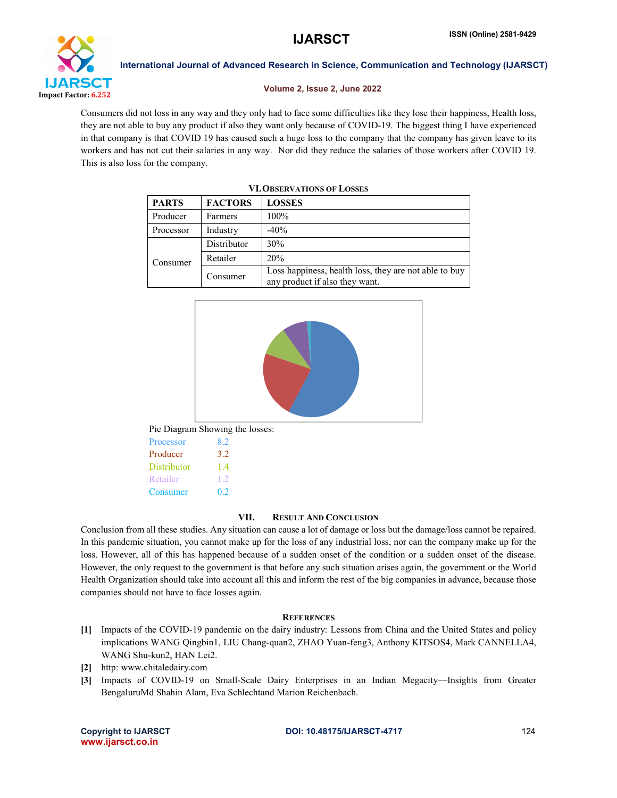

#### Volume 2, Issue 2, June 2022

Consumers did not loss in any way and they only had to face some difficulties like they lose their happiness, Health loss, they are not able to buy any product if also they want only because of COVID-19. The biggest thing I have experienced in that company is that COVID 19 has caused such a huge loss to the company that the company has given leave to its workers and has not cut their salaries in any way. Nor did they reduce the salaries of those workers after COVID 19. This is also loss for the company.

| <b>VI. OBSERVATIONS OF LOSSES</b> |                |                                                                                         |  |
|-----------------------------------|----------------|-----------------------------------------------------------------------------------------|--|
| <b>PARTS</b>                      | <b>FACTORS</b> | <b>LOSSES</b>                                                                           |  |
| Producer                          | <b>Farmers</b> | 100%                                                                                    |  |
| Processor                         | Industry       | $-40%$                                                                                  |  |
| Consumer                          | Distributor    | 30%                                                                                     |  |
|                                   | Retailer       | 20%                                                                                     |  |
|                                   | Consumer       | Loss happiness, health loss, they are not able to buy<br>any product if also they want. |  |





Pie Diagram Showing the losses:

| Processor   | 82 |
|-------------|----|
| Producer    | 32 |
| Distributor | 14 |
| Retailer    | 12 |
| Consumer    | 02 |
|             |    |

# VII. RESULT AND CONCLUSION

Conclusion from all these studies. Any situation can cause a lot of damage or loss but the damage/loss cannot be repaired. In this pandemic situation, you cannot make up for the loss of any industrial loss, nor can the company make up for the loss. However, all of this has happened because of a sudden onset of the condition or a sudden onset of the disease. However, the only request to the government is that before any such situation arises again, the government or the World Health Organization should take into account all this and inform the rest of the big companies in advance, because those companies should not have to face losses again.

# **REFERENCES**

- [1] Impacts of the COVID-19 pandemic on the dairy industry: Lessons from China and the United States and policy implications WANG Qingbin1, LIU Chang-quan2, ZHAO Yuan-feng3, Anthony KITSOS4, Mark CANNELLA4, WANG Shu-kun2, HAN Lei2.
- [2] http: www.chitaledairy.com
- [3] Impacts of COVID-19 on Small-Scale Dairy Enterprises in an Indian Megacity—Insights from Greater BengaluruMd Shahin Alam, Eva Schlechtand Marion Reichenbach.

www.ijarsct.co.in